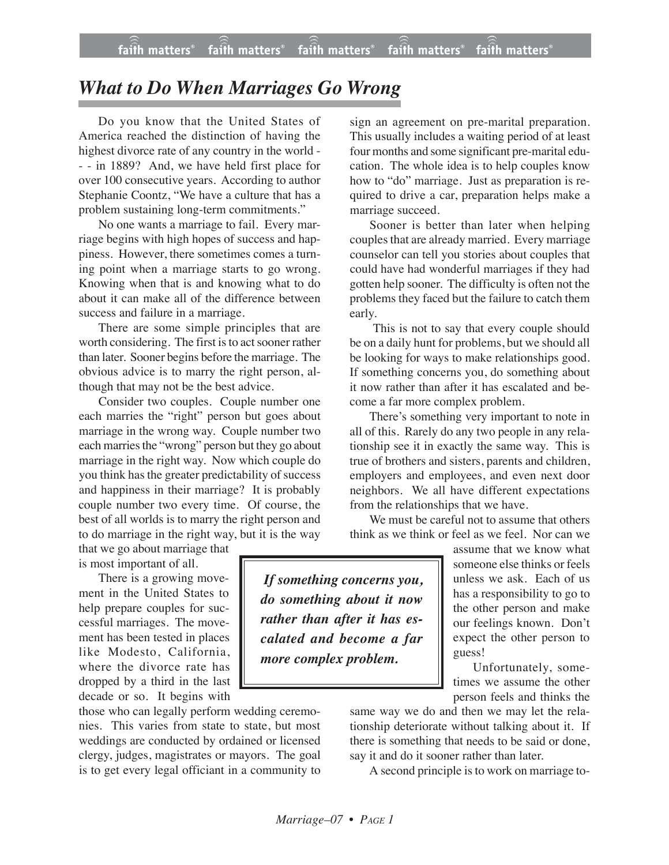## *What to Do When Marriages Go Wrong*

Do you know that the United States of America reached the distinction of having the highest divorce rate of any country in the world - - - in 1889? And, we have held first place for over 100 consecutive years. According to author Stephanie Coontz, "We have a culture that has a problem sustaining long-term commitments."

No one wants a marriage to fail. Every marriage begins with high hopes of success and happiness. However, there sometimes comes a turning point when a marriage starts to go wrong. Knowing when that is and knowing what to do about it can make all of the difference between success and failure in a marriage.

There are some simple principles that are worth considering. The first is to act sooner rather than later. Sooner begins before the marriage. The obvious advice is to marry the right person, although that may not be the best advice.

Consider two couples. Couple number one each marries the "right" person but goes about marriage in the wrong way. Couple number two each marries the "wrong" person but they go about marriage in the right way. Now which couple do you think has the greater predictability of success and happiness in their marriage? It is probably couple number two every time. Of course, the best of all worlds is to marry the right person and to do marriage in the right way, but it is the way

that we go about marriage that is most important of all.

There is a growing movement in the United States to help prepare couples for successful marriages. The movement has been tested in places like Modesto, California, where the divorce rate has dropped by a third in the last decade or so. It begins with

those who can legally perform wedding ceremonies. This varies from state to state, but most weddings are conducted by ordained or licensed clergy, judges, magistrates or mayors. The goal is to get every legal officiant in a community to

sign an agreement on pre-marital preparation. This usually includes a waiting period of at least four months and some significant pre-marital education. The whole idea is to help couples know how to "do" marriage. Just as preparation is required to drive a car, preparation helps make a marriage succeed.

Sooner is better than later when helping couples that are already married. Every marriage counselor can tell you stories about couples that could have had wonderful marriages if they had gotten help sooner. The difficulty is often not the problems they faced but the failure to catch them early.

 This is not to say that every couple should be on a daily hunt for problems, but we should all be looking for ways to make relationships good. If something concerns you, do something about it now rather than after it has escalated and become a far more complex problem.

There's something very important to note in all of this. Rarely do any two people in any relationship see it in exactly the same way. This is true of brothers and sisters, parents and children, employers and employees, and even next door neighbors. We all have different expectations from the relationships that we have.

We must be careful not to assume that others think as we think or feel as we feel. Nor can we

 *If something concerns you, do something about it now rather than after it has escalated and become a far more complex problem.*

assume that we know what someone else thinks or feels unless we ask. Each of us has a responsibility to go to the other person and make our feelings known. Don't expect the other person to guess!

Unfortunately, sometimes we assume the other person feels and thinks the

same way we do and then we may let the relationship deteriorate without talking about it. If there is something that needs to be said or done, say it and do it sooner rather than later.

A second principle is to work on marriage to-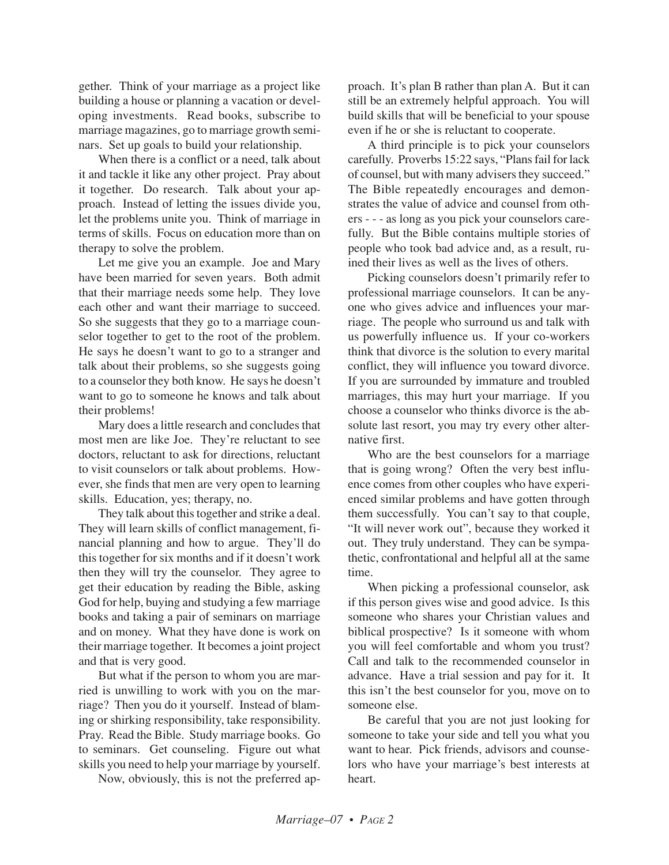gether. Think of your marriage as a project like building a house or planning a vacation or developing investments. Read books, subscribe to marriage magazines, go to marriage growth seminars. Set up goals to build your relationship.

When there is a conflict or a need, talk about it and tackle it like any other project. Pray about it together. Do research. Talk about your approach. Instead of letting the issues divide you, let the problems unite you. Think of marriage in terms of skills. Focus on education more than on therapy to solve the problem.

Let me give you an example. Joe and Mary have been married for seven years. Both admit that their marriage needs some help. They love each other and want their marriage to succeed. So she suggests that they go to a marriage counselor together to get to the root of the problem. He says he doesn't want to go to a stranger and talk about their problems, so she suggests going to a counselor they both know. He says he doesn't want to go to someone he knows and talk about their problems!

Mary does a little research and concludes that most men are like Joe. They're reluctant to see doctors, reluctant to ask for directions, reluctant to visit counselors or talk about problems. However, she finds that men are very open to learning skills. Education, yes; therapy, no.

They talk about this together and strike a deal. They will learn skills of conflict management, financial planning and how to argue. They'll do this together for six months and if it doesn't work then they will try the counselor. They agree to get their education by reading the Bible, asking God for help, buying and studying a few marriage books and taking a pair of seminars on marriage and on money. What they have done is work on their marriage together. It becomes a joint project and that is very good.

But what if the person to whom you are married is unwilling to work with you on the marriage? Then you do it yourself. Instead of blaming or shirking responsibility, take responsibility. Pray. Read the Bible. Study marriage books. Go to seminars. Get counseling. Figure out what skills you need to help your marriage by yourself.

Now, obviously, this is not the preferred ap-

proach. It's plan B rather than plan A. But it can still be an extremely helpful approach. You will build skills that will be beneficial to your spouse even if he or she is reluctant to cooperate.

A third principle is to pick your counselors carefully. Proverbs 15:22 says, "Plans fail for lack of counsel, but with many advisers they succeed." The Bible repeatedly encourages and demonstrates the value of advice and counsel from others - - - as long as you pick your counselors carefully. But the Bible contains multiple stories of people who took bad advice and, as a result, ruined their lives as well as the lives of others.

Picking counselors doesn't primarily refer to professional marriage counselors. It can be anyone who gives advice and influences your marriage. The people who surround us and talk with us powerfully influence us. If your co-workers think that divorce is the solution to every marital conflict, they will influence you toward divorce. If you are surrounded by immature and troubled marriages, this may hurt your marriage. If you choose a counselor who thinks divorce is the absolute last resort, you may try every other alternative first.

Who are the best counselors for a marriage that is going wrong? Often the very best influence comes from other couples who have experienced similar problems and have gotten through them successfully. You can't say to that couple, "It will never work out", because they worked it out. They truly understand. They can be sympathetic, confrontational and helpful all at the same time.

When picking a professional counselor, ask if this person gives wise and good advice. Is this someone who shares your Christian values and biblical prospective? Is it someone with whom you will feel comfortable and whom you trust? Call and talk to the recommended counselor in advance. Have a trial session and pay for it. It this isn't the best counselor for you, move on to someone else.

Be careful that you are not just looking for someone to take your side and tell you what you want to hear. Pick friends, advisors and counselors who have your marriage's best interests at heart.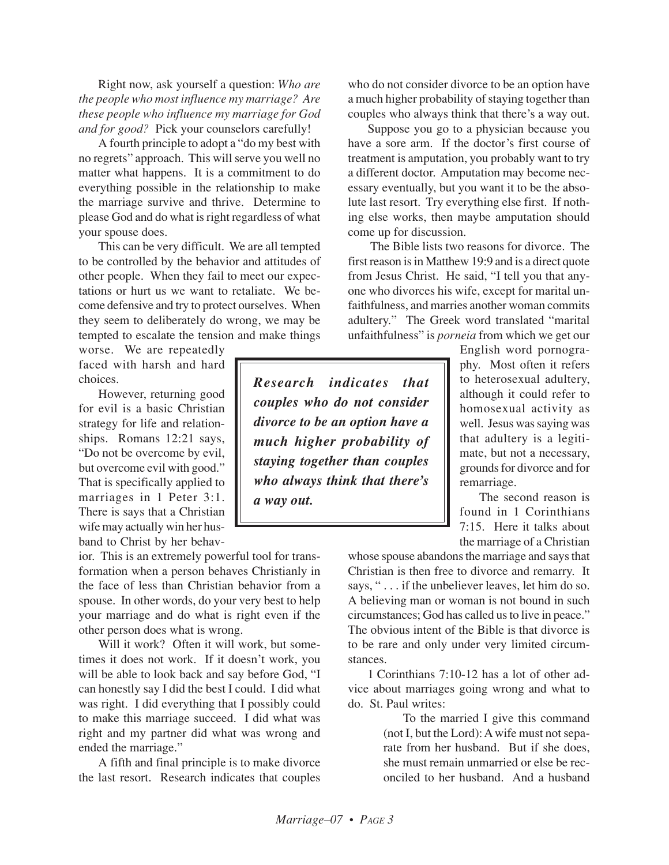Right now, ask yourself a question: *Who are the people who most influence my marriage? Are these people who influence my marriage for God and for good?* Pick your counselors carefully!

A fourth principle to adopt a "do my best with no regrets" approach. This will serve you well no matter what happens. It is a commitment to do everything possible in the relationship to make the marriage survive and thrive. Determine to please God and do what is right regardless of what your spouse does.

This can be very difficult. We are all tempted to be controlled by the behavior and attitudes of other people. When they fail to meet our expectations or hurt us we want to retaliate. We become defensive and try to protect ourselves. When they seem to deliberately do wrong, we may be tempted to escalate the tension and make things

worse. We are repeatedly faced with harsh and hard choices.

However, returning good for evil is a basic Christian strategy for life and relationships. Romans 12:21 says, "Do not be overcome by evil, but overcome evil with good." That is specifically applied to marriages in 1 Peter 3:1. There is says that a Christian wife may actually win her husband to Christ by her behav-

ior. This is an extremely powerful tool for transformation when a person behaves Christianly in the face of less than Christian behavior from a spouse. In other words, do your very best to help your marriage and do what is right even if the other person does what is wrong.

Will it work? Often it will work, but sometimes it does not work. If it doesn't work, you will be able to look back and say before God, "I can honestly say I did the best I could. I did what was right. I did everything that I possibly could to make this marriage succeed. I did what was right and my partner did what was wrong and ended the marriage."

A fifth and final principle is to make divorce the last resort. Research indicates that couples who do not consider divorce to be an option have a much higher probability of staying together than couples who always think that there's a way out.

Suppose you go to a physician because you have a sore arm. If the doctor's first course of treatment is amputation, you probably want to try a different doctor. Amputation may become necessary eventually, but you want it to be the absolute last resort. Try everything else first. If nothing else works, then maybe amputation should come up for discussion.

The Bible lists two reasons for divorce. The first reason is in Matthew 19:9 and is a direct quote from Jesus Christ. He said, "I tell you that anyone who divorces his wife, except for marital unfaithfulness, and marries another woman commits adultery." The Greek word translated "marital unfaithfulness" is *porneia* from which we get our

*Research indicates that couples who do not consider divorce to be an option have a much higher probability of staying together than couples who always think that there's a way out.*

English word pornography. Most often it refers to heterosexual adultery, although it could refer to homosexual activity as well. Jesus was saying was that adultery is a legitimate, but not a necessary, grounds for divorce and for remarriage.

The second reason is found in 1 Corinthians 7:15. Here it talks about the marriage of a Christian

whose spouse abandons the marriage and says that Christian is then free to divorce and remarry. It says, " . . . if the unbeliever leaves, let him do so. A believing man or woman is not bound in such circumstances; God has called us to live in peace." The obvious intent of the Bible is that divorce is to be rare and only under very limited circumstances.

1 Corinthians 7:10-12 has a lot of other advice about marriages going wrong and what to do. St. Paul writes:

> To the married I give this command (not I, but the Lord): A wife must not separate from her husband. But if she does, she must remain unmarried or else be reconciled to her husband. And a husband